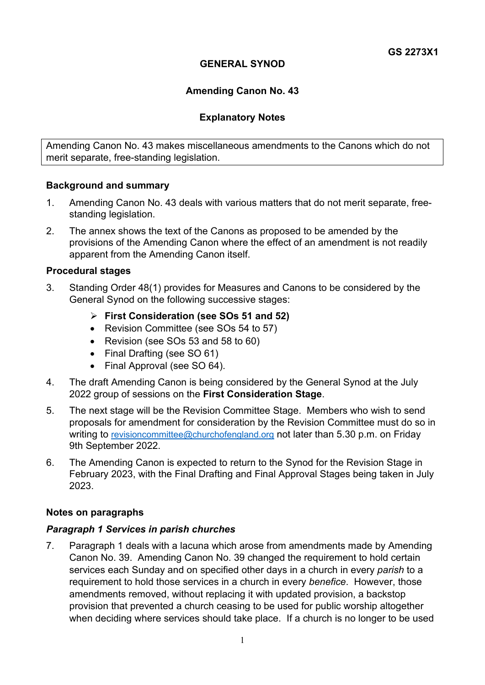## **GENERAL SYNOD**

## **Amending Canon No. 43**

### **Explanatory Notes**

Amending Canon No. 43 makes miscellaneous amendments to the Canons which do not merit separate, free-standing legislation.

#### **Background and summary**

- 1. Amending Canon No. 43 deals with various matters that do not merit separate, freestanding legislation.
- 2. The annex shows the text of the Canons as proposed to be amended by the provisions of the Amending Canon where the effect of an amendment is not readily apparent from the Amending Canon itself.

#### **Procedural stages**

- 3. Standing Order 48(1) provides for Measures and Canons to be considered by the General Synod on the following successive stages:
	- **First Consideration (see SOs 51 and 52)**
	- Revision Committee (see SOs 54 to 57)
	- Revision (see SOs 53 and 58 to 60)
	- Final Drafting (see SO 61)
	- Final Approval (see SO 64).
- 4. The draft Amending Canon is being considered by the General Synod at the July 2022 group of sessions on the **First Consideration Stage**.
- 5. The next stage will be the Revision Committee Stage. Members who wish to send proposals for amendment for consideration by the Revision Committee must do so in writing to [revisioncommittee@churchofengland.org](mailto:revisioncommittee@churchofengland.org) not later than 5.30 p.m. on Friday 9th September 2022.
- 6. The Amending Canon is expected to return to the Synod for the Revision Stage in February 2023, with the Final Drafting and Final Approval Stages being taken in July 2023.

#### **Notes on paragraphs**

#### *Paragraph 1 Services in parish churches*

7. Paragraph 1 deals with a lacuna which arose from amendments made by Amending Canon No. 39. Amending Canon No. 39 changed the requirement to hold certain services each Sunday and on specified other days in a church in every *parish* to a requirement to hold those services in a church in every *benefice*. However, those amendments removed, without replacing it with updated provision, a backstop provision that prevented a church ceasing to be used for public worship altogether when deciding where services should take place. If a church is no longer to be used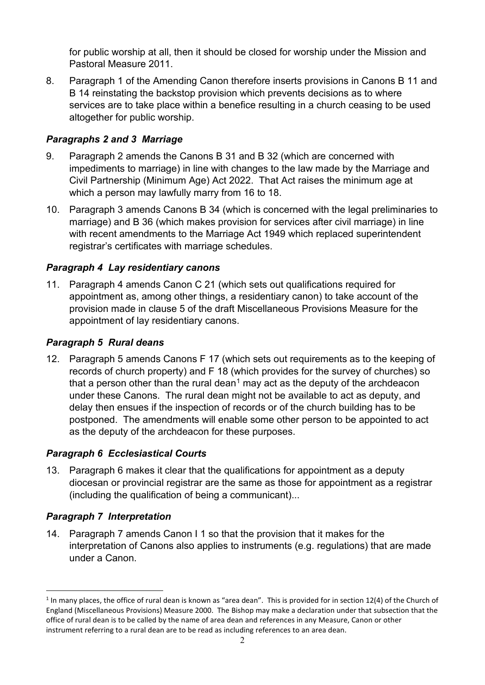for public worship at all, then it should be closed for worship under the Mission and Pastoral Measure 2011.

8. Paragraph 1 of the Amending Canon therefore inserts provisions in Canons B 11 and B 14 reinstating the backstop provision which prevents decisions as to where services are to take place within a benefice resulting in a church ceasing to be used altogether for public worship.

## *Paragraphs 2 and 3 Marriage*

- 9. Paragraph 2 amends the Canons B 31 and B 32 (which are concerned with impediments to marriage) in line with changes to the law made by the Marriage and Civil Partnership (Minimum Age) Act 2022. That Act raises the minimum age at which a person may lawfully marry from 16 to 18.
- 10. Paragraph 3 amends Canons B 34 (which is concerned with the legal preliminaries to marriage) and B 36 (which makes provision for services after civil marriage) in line with recent amendments to the Marriage Act 1949 which replaced superintendent registrar's certificates with marriage schedules.

# *Paragraph 4 Lay residentiary canons*

11. Paragraph 4 amends Canon C 21 (which sets out qualifications required for appointment as, among other things, a residentiary canon) to take account of the provision made in clause 5 of the draft Miscellaneous Provisions Measure for the appointment of lay residentiary canons.

# *Paragraph 5 Rural deans*

12. Paragraph 5 amends Canons F 17 (which sets out requirements as to the keeping of records of church property) and F 18 (which provides for the survey of churches) so that a person other than the rural dean<sup>[1](#page-1-0)</sup> may act as the deputy of the archdeacon under these Canons. The rural dean might not be available to act as deputy, and delay then ensues if the inspection of records or of the church building has to be postponed. The amendments will enable some other person to be appointed to act as the deputy of the archdeacon for these purposes.

## *Paragraph 6 Ecclesiastical Courts*

13. Paragraph 6 makes it clear that the qualifications for appointment as a deputy diocesan or provincial registrar are the same as those for appointment as a registrar (including the qualification of being a communicant)...

## *Paragraph 7 Interpretation*

14. Paragraph 7 amends Canon I 1 so that the provision that it makes for the interpretation of Canons also applies to instruments (e.g. regulations) that are made under a Canon.

<span id="page-1-0"></span> $1$  In many places, the office of rural dean is known as "area dean". This is provided for in section 12(4) of the Church of England (Miscellaneous Provisions) Measure 2000. The Bishop may make a declaration under that subsection that the office of rural dean is to be called by the name of area dean and references in any Measure, Canon or other instrument referring to a rural dean are to be read as including references to an area dean.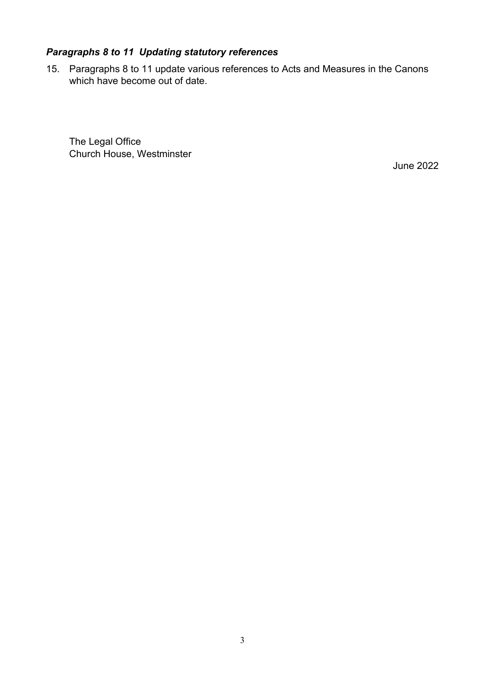# *Paragraphs 8 to 11 Updating statutory references*

15. Paragraphs 8 to 11 update various references to Acts and Measures in the Canons which have become out of date.

The Legal Office Church House, Westminster

June 2022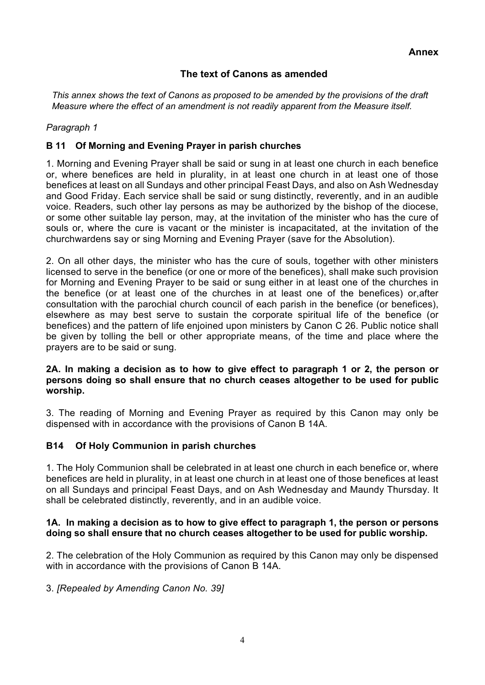## **The text of Canons as amended**

*This annex shows the text of Canons as proposed to be amended by the provisions of the draft Measure where the effect of an amendment is not readily apparent from the Measure itself.*

#### *Paragraph 1*

### **B 11 Of Morning and Evening Prayer in parish churches**

1. Morning and Evening Prayer shall be said or sung in at least one church in each benefice or, where benefices are held in plurality, in at least one church in at least one of those benefices at least on all Sundays and other principal Feast Days, and also on Ash Wednesday and Good Friday. Each service shall be said or sung distinctly, reverently, and in an audible voice. Readers, such other lay persons as may be authorized by the bishop of the diocese, or some other suitable lay person, may, at the invitation of the minister who has the cure of souls or, where the cure is vacant or the minister is incapacitated, at the invitation of the churchwardens say or sing Morning and Evening Prayer (save for the Absolution).

2. On all other days, the minister who has the cure of souls, together with other ministers licensed to serve in the benefice (or one or more of the benefices), shall make such provision for Morning and Evening Prayer to be said or sung either in at least one of the churches in the benefice (or at least one of the churches in at least one of the benefices) or,after consultation with the parochial church council of each parish in the benefice (or benefices), elsewhere as may best serve to sustain the corporate spiritual life of the benefice (or benefices) and the pattern of life enjoined upon ministers by Canon C 26. Public notice shall be given by tolling the bell or other appropriate means, of the time and place where the prayers are to be said or sung.

#### **2A. In making a decision as to how to give effect to paragraph 1 or 2, the person or persons doing so shall ensure that no church ceases altogether to be used for public worship.**

3. The reading of Morning and Evening Prayer as required by this Canon may only be dispensed with in accordance with the provisions of Canon B 14A.

#### **B14 Of Holy Communion in parish churches**

1. The Holy Communion shall be celebrated in at least one church in each benefice or, where benefices are held in plurality, in at least one church in at least one of those benefices at least on all Sundays and principal Feast Days, and on Ash Wednesday and Maundy Thursday. It shall be celebrated distinctly, reverently, and in an audible voice.

#### **1A. In making a decision as to how to give effect to paragraph 1, the person or persons doing so shall ensure that no church ceases altogether to be used for public worship.**

2. The celebration of the Holy Communion as required by this Canon may only be dispensed with in accordance with the provisions of Canon B 14A.

3. *[Repealed by Amending Canon No. 39]*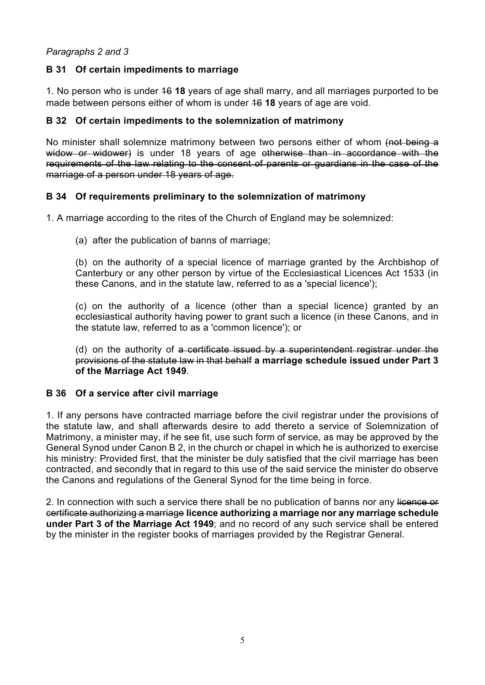### *Paragraphs 2 and 3*

### **B 31 Of certain impediments to marriage**

1. No person who is under 16 **18** years of age shall marry, and all marriages purported to be made between persons either of whom is under 16 **18** years of age are void.

### **B 32 Of certain impediments to the solemnization of matrimony**

No minister shall solemnize matrimony between two persons either of whom (not being a widow or widower) is under 18 years of age otherwise than in accordance with the requirements of the law relating to the consent of parents or guardians in the case of the marriage of a person under 18 years of age.

#### **B 34 Of requirements preliminary to the solemnization of matrimony**

1. A marriage according to the rites of the Church of England may be solemnized:

(a) after the publication of banns of marriage;

(b) on the authority of a special licence of marriage granted by the Archbishop of Canterbury or any other person by virtue of the Ecclesiastical Licences Act 1533 (in these Canons, and in the statute law, referred to as a 'special licence');

(c) on the authority of a licence (other than a special licence) granted by an ecclesiastical authority having power to grant such a licence (in these Canons, and in the statute law, referred to as a 'common licence'); or

(d) on the authority of a certificate issued by a superintendent registrar under the provisions of the statute law in that behalf **a marriage schedule issued under Part 3 of the Marriage Act 1949**.

#### **B 36 Of a service after civil marriage**

1. If any persons have contracted marriage before the civil registrar under the provisions of the statute law, and shall afterwards desire to add thereto a service of Solemnization of Matrimony, a minister may, if he see fit, use such form of service, as may be approved by the General Synod under Canon B 2, in the church or chapel in which he is authorized to exercise his ministry: Provided first, that the minister be duly satisfied that the civil marriage has been contracted, and secondly that in regard to this use of the said service the minister do observe the Canons and regulations of the General Synod for the time being in force.

2. In connection with such a service there shall be no publication of banns nor any licence or certificate authorizing a marriage **licence authorizing a marriage nor any marriage schedule under Part 3 of the Marriage Act 1949**; and no record of any such service shall be entered by the minister in the register books of marriages provided by the Registrar General.